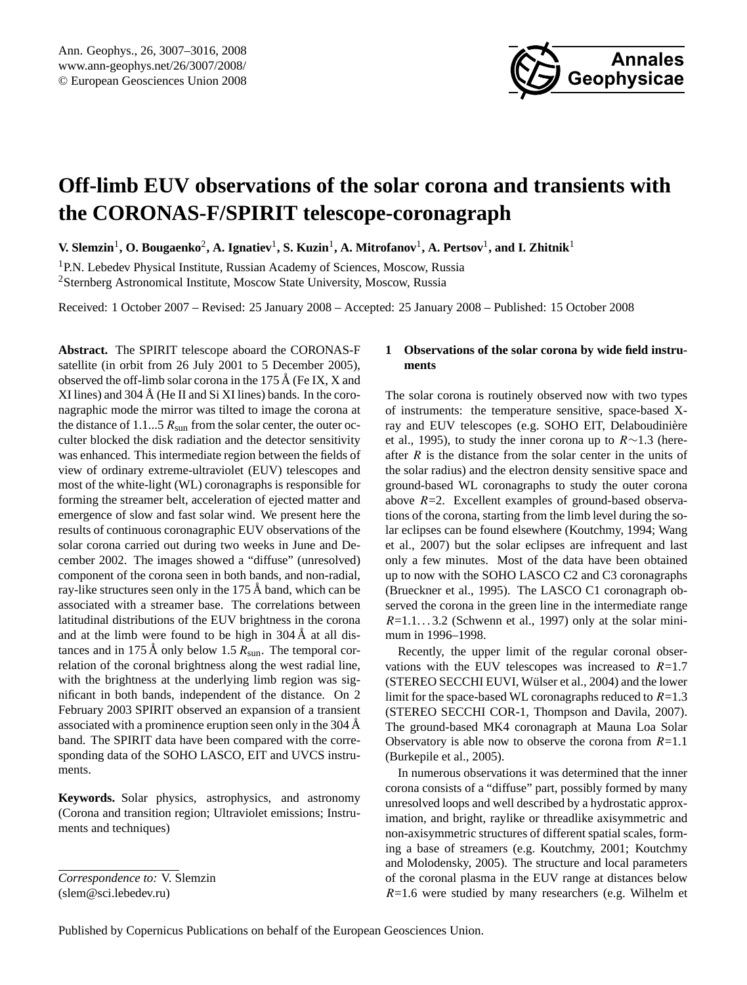

# <span id="page-0-0"></span>**Off-limb EUV observations of the solar corona and transients with the CORONAS-F/SPIRIT telescope-coronagraph**

 $V.$  Slemzin<sup>1</sup>, O. Bougaenko<sup>2</sup>, A. Ignatiev<sup>1</sup>, S. Kuzin<sup>1</sup>, A. Mitrofanov<sup>1</sup>, A. Pertsov<sup>1</sup>, and I. Zhitnik<sup>1</sup>

<sup>1</sup>P.N. Lebedev Physical Institute, Russian Academy of Sciences, Moscow, Russia <sup>2</sup>Sternberg Astronomical Institute, Moscow State University, Moscow, Russia

Received: 1 October 2007 – Revised: 25 January 2008 – Accepted: 25 January 2008 – Published: 15 October 2008

**Abstract.** The SPIRIT telescope aboard the CORONAS-F satellite (in orbit from 26 July 2001 to 5 December 2005), observed the off-limb solar corona in the 175  $\AA$  (Fe IX, X and XI lines) and  $304 \text{ Å}$  (He II and Si XI lines) bands. In the coronagraphic mode the mirror was tilted to image the corona at the distance of 1.1...5  $R_{sun}$  from the solar center, the outer occulter blocked the disk radiation and the detector sensitivity was enhanced. This intermediate region between the fields of view of ordinary extreme-ultraviolet (EUV) telescopes and most of the white-light (WL) coronagraphs is responsible for forming the streamer belt, acceleration of ejected matter and emergence of slow and fast solar wind. We present here the results of continuous coronagraphic EUV observations of the solar corona carried out during two weeks in June and December 2002. The images showed a "diffuse" (unresolved) component of the corona seen in both bands, and non-radial, ray-like structures seen only in the  $175 \text{ Å}$  band, which can be associated with a streamer base. The correlations between latitudinal distributions of the EUV brightness in the corona and at the limb were found to be high in  $304 \text{ Å}$  at all distances and in 175 Å only below 1.5  $R_{sun}$ . The temporal correlation of the coronal brightness along the west radial line, with the brightness at the underlying limb region was significant in both bands, independent of the distance. On 2 February 2003 SPIRIT observed an expansion of a transient associated with a prominence eruption seen only in the 304 Å band. The SPIRIT data have been compared with the corresponding data of the SOHO LASCO, EIT and UVCS instruments.

**Keywords.** Solar physics, astrophysics, and astronomy (Corona and transition region; Ultraviolet emissions; Instruments and techniques)

## **1 Observations of the solar corona by wide field instruments**

The solar corona is routinely observed now with two types of instruments: the temperature sensitive, space-based Xray and EUV telescopes (e.g. SOHO EIT, Delaboudinière et al., 1995), to study the inner corona up to R∼1.3 (hereafter  $R$  is the distance from the solar center in the units of the solar radius) and the electron density sensitive space and ground-based WL coronagraphs to study the outer corona above  $R=2$ . Excellent examples of ground-based observations of the corona, starting from the limb level during the solar eclipses can be found elsewhere (Koutchmy, 1994; Wang et al., 2007) but the solar eclipses are infrequent and last only a few minutes. Most of the data have been obtained up to now with the SOHO LASCO C2 and C3 coronagraphs (Brueckner et al., 1995). The LASCO C1 coronagraph observed the corona in the green line in the intermediate range  $R=1.1...3.2$  (Schwenn et al., 1997) only at the solar minimum in 1996–1998.

Recently, the upper limit of the regular coronal observations with the EUV telescopes was increased to  $R=1.7$ (STEREO SECCHI EUVI, Wülser et al., 2004) and the lower limit for the space-based WL coronagraphs reduced to  $R=1.3$ (STEREO SECCHI COR-1, Thompson and Davila, 2007). The ground-based MK4 coronagraph at Mauna Loa Solar Observatory is able now to observe the corona from  $R=1.1$ (Burkepile et al., 2005).

In numerous observations it was determined that the inner corona consists of a "diffuse" part, possibly formed by many unresolved loops and well described by a hydrostatic approximation, and bright, raylike or threadlike axisymmetric and non-axisymmetric structures of different spatial scales, forming a base of streamers (e.g. Koutchmy, 2001; Koutchmy and Molodensky, 2005). The structure and local parameters of the coronal plasma in the EUV range at distances below  $R=1.6$  were studied by many researchers (e.g. Wilhelm et

*Correspondence to:* V. Slemzin (slem@sci.lebedev.ru)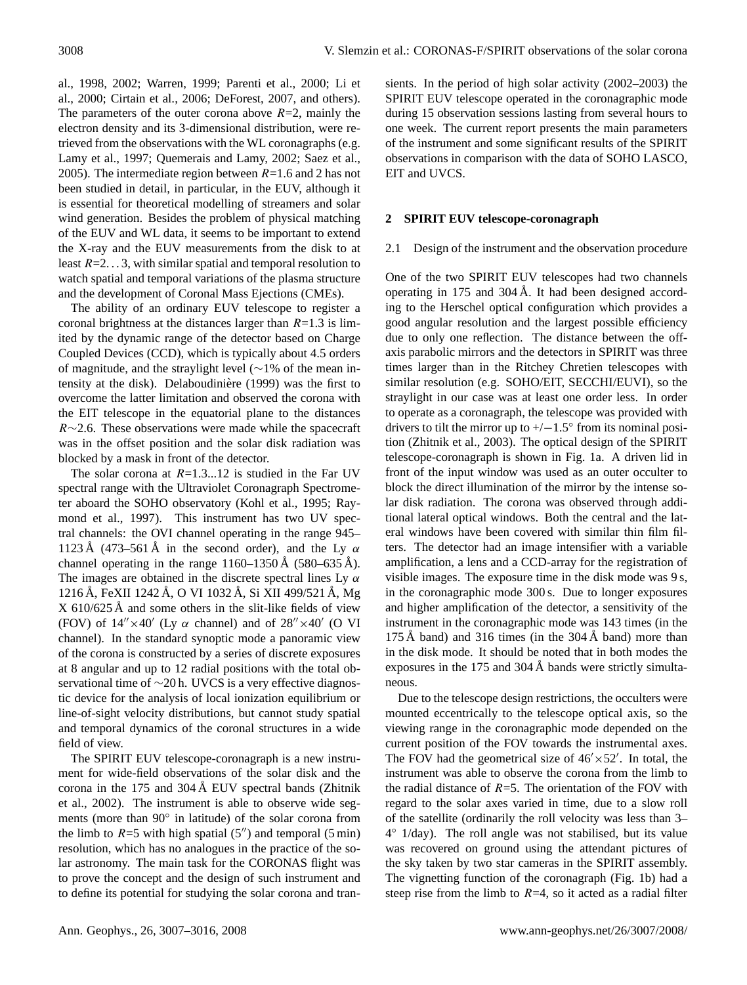al., 1998, 2002; Warren, 1999; Parenti et al., 2000; Li et al., 2000; Cirtain et al., 2006; DeForest, 2007, and others). The parameters of the outer corona above  $R=2$ , mainly the electron density and its 3-dimensional distribution, were retrieved from the observations with the WL coronagraphs (e.g. Lamy et al., 1997; Quemerais and Lamy, 2002; Saez et al., 2005). The intermediate region between  $R=1.6$  and 2 has not been studied in detail, in particular, in the EUV, although it is essential for theoretical modelling of streamers and solar wind generation. Besides the problem of physical matching of the EUV and WL data, it seems to be important to extend the X-ray and the EUV measurements from the disk to at least  $R=2...3$ , with similar spatial and temporal resolution to watch spatial and temporal variations of the plasma structure and the development of Coronal Mass Ejections (CMEs).

The ability of an ordinary EUV telescope to register a coronal brightness at the distances larger than  $R=1.3$  is limited by the dynamic range of the detector based on Charge Coupled Devices (CCD), which is typically about 4.5 orders of magnitude, and the straylight level (∼1% of the mean intensity at the disk). Delaboudiniere (1999) was the first to ` overcome the latter limitation and observed the corona with the EIT telescope in the equatorial plane to the distances R∼2.6. These observations were made while the spacecraft was in the offset position and the solar disk radiation was blocked by a mask in front of the detector.

The solar corona at  $R=1.3...12$  is studied in the Far UV spectral range with the Ultraviolet Coronagraph Spectrometer aboard the SOHO observatory (Kohl et al., 1995; Raymond et al., 1997). This instrument has two UV spectral channels: the OVI channel operating in the range 945– 1123 Å (473–561 Å in the second order), and the Ly  $\alpha$ channel operating in the range  $1160-1350 \text{ Å}$  (580–635 Å). The images are obtained in the discrete spectral lines Ly  $\alpha$ 1216 Å, FeXII 1242 Å, O VI 1032 Å, Si XII 499/521 Å, Mg  $X$  610/625 Å and some others in the slit-like fields of view (FOV) of  $14'' \times 40'$  (Ly  $\alpha$  channel) and of  $28'' \times 40'$  (O VI channel). In the standard synoptic mode a panoramic view of the corona is constructed by a series of discrete exposures at 8 angular and up to 12 radial positions with the total observational time of ∼20 h. UVCS is a very effective diagnostic device for the analysis of local ionization equilibrium or line-of-sight velocity distributions, but cannot study spatial and temporal dynamics of the coronal structures in a wide field of view.

The SPIRIT EUV telescope-coronagraph is a new instrument for wide-field observations of the solar disk and the corona in the 175 and 304 Å EUV spectral bands (Zhitnik et al., 2002). The instrument is able to observe wide segments (more than 90◦ in latitude) of the solar corona from the limb to  $R=5$  with high spatial (5<sup>t</sup>) and temporal (5 min) resolution, which has no analogues in the practice of the solar astronomy. The main task for the CORONAS flight was to prove the concept and the design of such instrument and to define its potential for studying the solar corona and transients. In the period of high solar activity (2002–2003) the SPIRIT EUV telescope operated in the coronagraphic mode during 15 observation sessions lasting from several hours to one week. The current report presents the main parameters of the instrument and some significant results of the SPIRIT observations in comparison with the data of SOHO LASCO, EIT and UVCS.

## **2 SPIRIT EUV telescope-coronagraph**

#### 2.1 Design of the instrument and the observation procedure

One of the two SPIRIT EUV telescopes had two channels operating in 175 and 304 Å. It had been designed according to the Herschel optical configuration which provides a good angular resolution and the largest possible efficiency due to only one reflection. The distance between the offaxis parabolic mirrors and the detectors in SPIRIT was three times larger than in the Ritchey Chretien telescopes with similar resolution (e.g. SOHO/EIT, SECCHI/EUVI), so the straylight in our case was at least one order less. In order to operate as a coronagraph, the telescope was provided with drivers to tilt the mirror up to  $+/-1.5°$  from its nominal position (Zhitnik et al., 2003). The optical design of the SPIRIT telescope-coronagraph is shown in Fig. 1a. A driven lid in front of the input window was used as an outer occulter to block the direct illumination of the mirror by the intense solar disk radiation. The corona was observed through additional lateral optical windows. Both the central and the lateral windows have been covered with similar thin film filters. The detector had an image intensifier with a variable amplification, a lens and a CCD-array for the registration of visible images. The exposure time in the disk mode was 9 s, in the coronagraphic mode 300 s. Due to longer exposures and higher amplification of the detector, a sensitivity of the instrument in the coronagraphic mode was 143 times (in the 175 Å band) and 316 times (in the  $304 \text{ Å}$  band) more than in the disk mode. It should be noted that in both modes the exposures in the  $175$  and  $304 \text{ Å}$  bands were strictly simultaneous.

Due to the telescope design restrictions, the occulters were mounted eccentrically to the telescope optical axis, so the viewing range in the coronagraphic mode depended on the current position of the FOV towards the instrumental axes. The FOV had the geometrical size of  $46' \times 52'$ . In total, the instrument was able to observe the corona from the limb to the radial distance of  $R=5$ . The orientation of the FOV with regard to the solar axes varied in time, due to a slow roll of the satellite (ordinarily the roll velocity was less than 3– 4 ◦ 1/day). The roll angle was not stabilised, but its value was recovered on ground using the attendant pictures of the sky taken by two star cameras in the SPIRIT assembly. The vignetting function of the coronagraph (Fig. 1b) had a steep rise from the limb to  $R=4$ , so it acted as a radial filter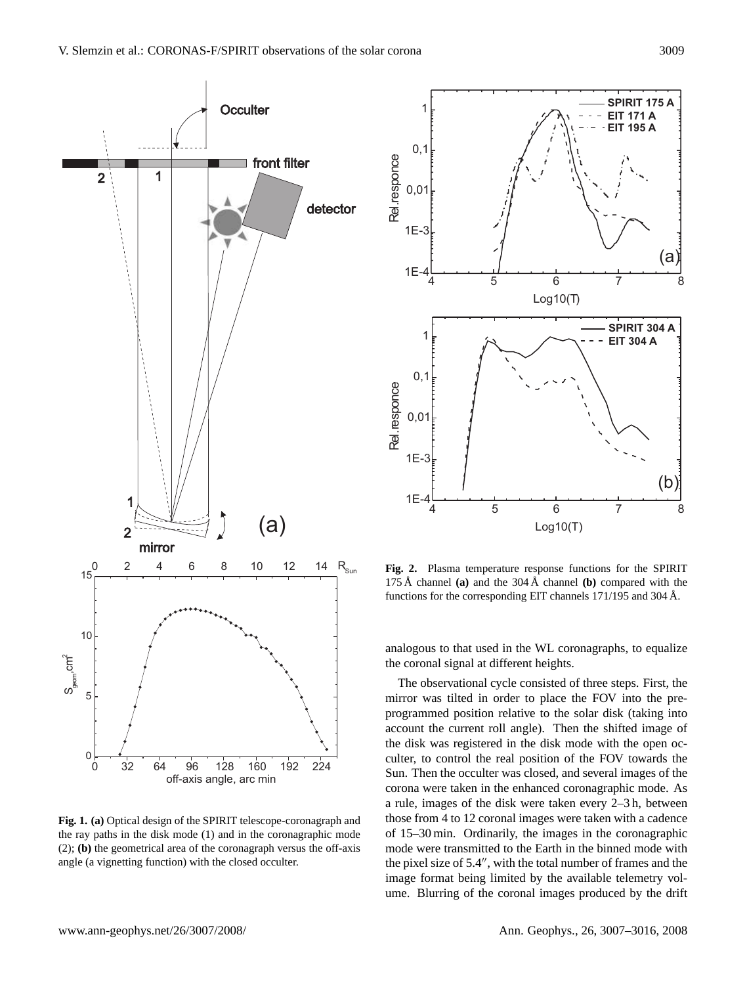

**Fig. 1. (a)** Optical design of the SPIRIT telescope-coronagraph and the ray paths in the disk mode (1) and in the coronagraphic mode (2); **(b)** the geometrical area of the coronagraph versus the off-axis angle (a vignetting function) with the closed occulter.



**Fig. 2.** Plasma temperature response functions for the SPIRIT 175 Å channel (a) and the  $304 \text{ Å}$  channel (b) compared with the functions for the corresponding EIT channels  $171/195$  and  $304 \text{ Å}$ .

analogous to that used in the WL coronagraphs, to equalize the coronal signal at different heights.

The observational cycle consisted of three steps. First, the mirror was tilted in order to place the FOV into the preprogrammed position relative to the solar disk (taking into account the current roll angle). Then the shifted image of the disk was registered in the disk mode with the open occulter, to control the real position of the FOV towards the Sun. Then the occulter was closed, and several images of the corona were taken in the enhanced coronagraphic mode. As a rule, images of the disk were taken every 2–3 h, between those from 4 to 12 coronal images were taken with a cadence of 15–30 min. Ordinarily, the images in the coronagraphic mode were transmitted to the Earth in the binned mode with the pixel size of  $5.4$ ", with the total number of frames and the image format being limited by the available telemetry volume. Blurring of the coronal images produced by the drift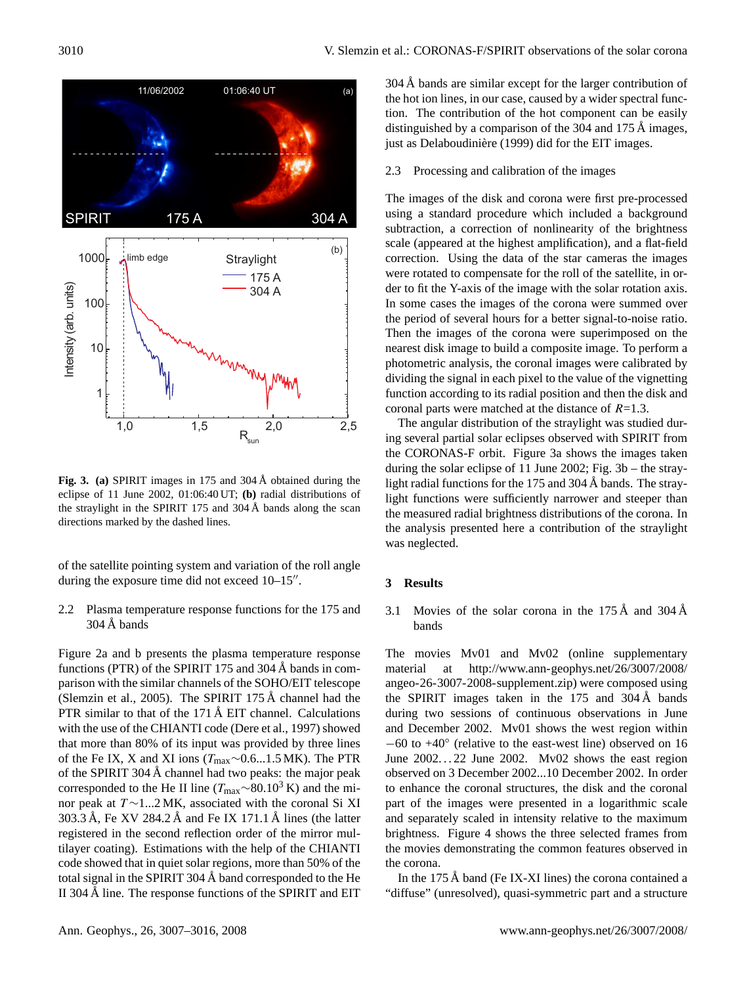

**Fig. 3.** (a) SPIRIT images in 175 and 304 Å obtained during the eclipse of 11 June 2002, 01:06:40 UT; **(b)** radial distributions of the straylight in the SPIRIT 175 and  $304 \text{ Å}$  bands along the scan directions marked by the dashed lines.

of the satellite pointing system and variation of the roll angle during the exposure time did not exceed  $10-15$ ".

2.2 Plasma temperature response functions for the 175 and  $304 \text{ Å}$  bands

Figure 2a and b presents the plasma temperature response functions (PTR) of the SPIRIT 175 and 304  $\AA$  bands in comparison with the similar channels of the SOHO/EIT telescope (Slemzin et al., 2005). The SPIRIT  $175 \text{ Å}$  channel had the PTR similar to that of the  $171 \text{ Å}$  EIT channel. Calculations with the use of the CHIANTI code (Dere et al., 1997) showed that more than 80% of its input was provided by three lines of the Fe IX, X and XI ions (Tmax∼0.6...1.5 MK). The PTR of the SPIRIT 304  $\AA$  channel had two peaks: the major peak corresponded to the He II line ( $T_{\text{max}} \sim 80.10^3$  K) and the minor peak at T ∼1...2 MK, associated with the coronal Si XI 303.3 Å, Fe XV 284.2 Å and Fe IX 171.1 Å lines (the latter registered in the second reflection order of the mirror multilayer coating). Estimations with the help of the CHIANTI code showed that in quiet solar regions, more than 50% of the total signal in the SPIRIT 304  $\AA$  band corresponded to the He II 304 Å line. The response functions of the SPIRIT and EIT  $304 \text{ Å}$  bands are similar except for the larger contribution of the hot ion lines, in our case, caused by a wider spectral function. The contribution of the hot component can be easily distinguished by a comparison of the  $304$  and  $175 \text{ Å}$  images, just as Delaboudinière (1999) did for the EIT images.

2.3 Processing and calibration of the images

The images of the disk and corona were first pre-processed using a standard procedure which included a background subtraction, a correction of nonlinearity of the brightness scale (appeared at the highest amplification), and a flat-field correction. Using the data of the star cameras the images were rotated to compensate for the roll of the satellite, in order to fit the Y-axis of the image with the solar rotation axis. In some cases the images of the corona were summed over the period of several hours for a better signal-to-noise ratio. Then the images of the corona were superimposed on the nearest disk image to build a composite image. To perform a photometric analysis, the coronal images were calibrated by dividing the signal in each pixel to the value of the vignetting function according to its radial position and then the disk and coronal parts were matched at the distance of  $R=1.3$ .

The angular distribution of the straylight was studied during several partial solar eclipses observed with SPIRIT from the CORONAS-F orbit. Figure 3a shows the images taken during the solar eclipse of 11 June 2002; Fig. 3b – the straylight radial functions for the  $175$  and  $304 \text{ Å}$  bands. The straylight functions were sufficiently narrower and steeper than the measured radial brightness distributions of the corona. In the analysis presented here a contribution of the straylight was neglected.

## **3 Results**

3.1 Movies of the solar corona in the  $175 \text{ Å}$  and  $304 \text{ Å}$ bands

The movies Mv01 and Mv02 (online supplementary material at [http://www.ann-geophys.net/26/3007/2008/](http://www.ann-geophys.net/26/3007/2008/angeo-26-3007-2008-supplement.zip) [angeo-26-3007-2008-supplement.zip\)](http://www.ann-geophys.net/26/3007/2008/angeo-26-3007-2008-supplement.zip) were composed using the SPIRIT images taken in the  $175$  and  $304 \text{ Å}$  bands during two sessions of continuous observations in June and December 2002. Mv01 shows the west region within −60 to +40◦ (relative to the east-west line) observed on 16 June  $2002...22$  June  $2002.$  Mv02 shows the east region observed on 3 December 2002...10 December 2002. In order to enhance the coronal structures, the disk and the coronal part of the images were presented in a logarithmic scale and separately scaled in intensity relative to the maximum brightness. Figure 4 shows the three selected frames from the movies demonstrating the common features observed in the corona.

In the 175 Å band (Fe IX-XI lines) the corona contained a "diffuse" (unresolved), quasi-symmetric part and a structure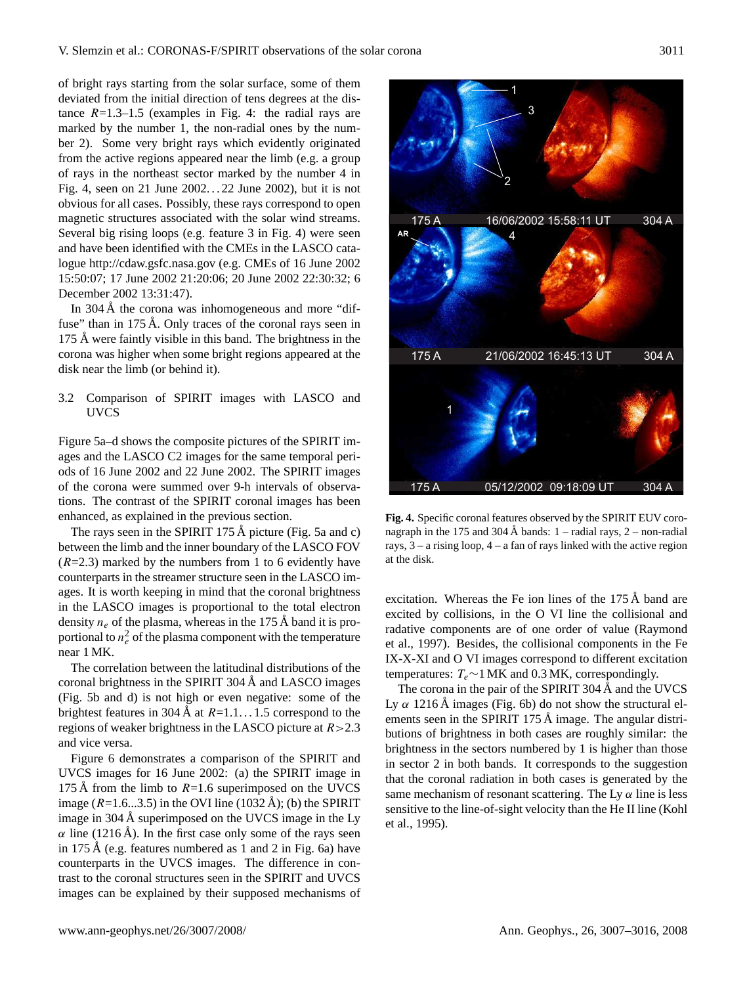of bright rays starting from the solar surface, some of them deviated from the initial direction of tens degrees at the distance  $R=1.3-1.5$  (examples in Fig. 4: the radial rays are marked by the number 1, the non-radial ones by the number 2). Some very bright rays which evidently originated from the active regions appeared near the limb (e.g. a group of rays in the northeast sector marked by the number 4 in Fig. 4, seen on 21 June 2002. . . 22 June 2002), but it is not obvious for all cases. Possibly, these rays correspond to open magnetic structures associated with the solar wind streams. Several big rising loops (e.g. feature 3 in Fig. 4) were seen and have been identified with the CMEs in the LASCO catalogue <http://cdaw.gsfc.nasa.gov> (e.g. CMEs of 16 June 2002 15:50:07; 17 June 2002 21:20:06; 20 June 2002 22:30:32; 6 December 2002 13:31:47).

In  $304 \text{ Å}$  the corona was inhomogeneous and more "diffuse" than in  $175 \text{ Å}$ . Only traces of the coronal rays seen in 175 Å were faintly visible in this band. The brightness in the corona was higher when some bright regions appeared at the disk near the limb (or behind it).

# 3.2 Comparison of SPIRIT images with LASCO and UVCS

Figure 5a–d shows the composite pictures of the SPIRIT images and the LASCO C2 images for the same temporal periods of 16 June 2002 and 22 June 2002. The SPIRIT images of the corona were summed over 9-h intervals of observations. The contrast of the SPIRIT coronal images has been enhanced, as explained in the previous section.

The rays seen in the SPIRIT 175 Å picture (Fig. 5a and c) between the limb and the inner boundary of the LASCO FOV  $(R=2.3)$  marked by the numbers from 1 to 6 evidently have counterparts in the streamer structure seen in the LASCO images. It is worth keeping in mind that the coronal brightness in the LASCO images is proportional to the total electron density  $n_e$  of the plasma, whereas in the 175 Å band it is proportional to  $n_e^2$  of the plasma component with the temperature near 1 MK.

The correlation between the latitudinal distributions of the coronal brightness in the SPIRIT 304  $\AA$  and LASCO images (Fig. 5b and d) is not high or even negative: some of the brightest features in 304 Å at  $R=1.1...1.5$  correspond to the regions of weaker brightness in the LASCO picture at  $R > 2.3$ and vice versa.

Figure 6 demonstrates a comparison of the SPIRIT and UVCS images for 16 June 2002: (a) the SPIRIT image in 175 Å from the limb to  $R=1.6$  superimposed on the UVCS image ( $R=1.6...3.5$ ) in the OVI line (1032 Å); (b) the SPIRIT image in 304 Å superimposed on the UVCS image in the Ly  $\alpha$  line (1216 Å). In the first case only some of the rays seen in 175 Å (e.g. features numbered as 1 and 2 in Fig. 6a) have counterparts in the UVCS images. The difference in contrast to the coronal structures seen in the SPIRIT and UVCS images can be explained by their supposed mechanisms of



**Fig. 4.** Specific coronal features observed by the SPIRIT EUV coronagraph in the 175 and 304 Å bands:  $1 -$  radial rays,  $2 -$  non-radial rays, 3 – a rising loop, 4 – a fan of rays linked with the active region at the disk.

excitation. Whereas the Fe ion lines of the  $175 \text{ Å}$  band are excited by collisions, in the O VI line the collisional and radative components are of one order of value (Raymond et al., 1997). Besides, the collisional components in the Fe IX-X-XI and O VI images correspond to different excitation temperatures:  $T_e \sim 1$  MK and 0.3 MK, correspondingly.

The corona in the pair of the SPIRIT 304 Å and the UVCS Ly  $\alpha$  1216 Å images (Fig. 6b) do not show the structural elements seen in the SPIRIT 175  $\AA$  image. The angular distributions of brightness in both cases are roughly similar: the brightness in the sectors numbered by 1 is higher than those in sector 2 in both bands. It corresponds to the suggestion that the coronal radiation in both cases is generated by the same mechanism of resonant scattering. The Ly  $\alpha$  line is less sensitive to the line-of-sight velocity than the He II line (Kohl et al., 1995).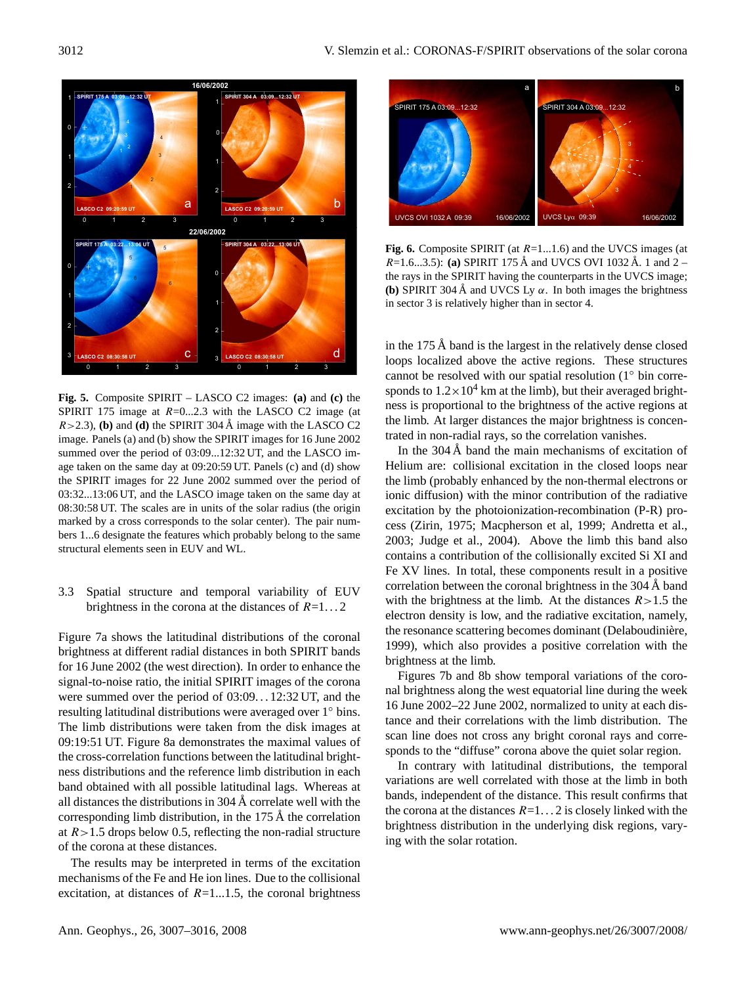

**Fig. 5.** Composite SPIRIT – LASCO C2 images: **(a)** and **(c)** the SPIRIT 175 image at  $R=0...2.3$  with the LASCO C2 image (at  $R > 2.3$ ), **(b)** and **(d)** the SPIRIT 304 Å image with the LASCO C2 image. Panels (a) and (b) show the SPIRIT images for 16 June 2002 summed over the period of 03:09...12:32 UT, and the LASCO image taken on the same day at 09:20:59 UT. Panels (c) and (d) show the SPIRIT images for 22 June 2002 summed over the period of 03:32...13:06 UT, and the LASCO image taken on the same day at 08:30:58 UT. The scales are in units of the solar radius (the origin marked by a cross corresponds to the solar center). The pair numbers 1...6 designate the features which probably belong to the same structural elements seen in EUV and WL.

# 3.3 Spatial structure and temporal variability of EUV brightness in the corona at the distances of  $R=1...2$

Figure 7a shows the latitudinal distributions of the coronal brightness at different radial distances in both SPIRIT bands for 16 June 2002 (the west direction). In order to enhance the signal-to-noise ratio, the initial SPIRIT images of the corona were summed over the period of 03:09. . . 12:32 UT, and the resulting latitudinal distributions were averaged over 1◦ bins. The limb distributions were taken from the disk images at 09:19:51 UT. Figure 8a demonstrates the maximal values of the cross-correlation functions between the latitudinal brightness distributions and the reference limb distribution in each band obtained with all possible latitudinal lags. Whereas at all distances the distributions in  $304 \text{ Å}$  correlate well with the corresponding limb distribution, in the  $175 \text{ Å}$  the correlation at  $R > 1.5$  drops below 0.5, reflecting the non-radial structure of the corona at these distances.

The results may be interpreted in terms of the excitation mechanisms of the Fe and He ion lines. Due to the collisional excitation, at distances of  $R=1...1.5$ , the coronal brightness



**Fig. 6.** Composite SPIRIT (at R=1...1.6) and the UVCS images (at  $R=1.6...3.5$ : (a) SPIRIT 175 Å and UVCS OVI 1032 Å. 1 and 2 – the rays in the SPIRIT having the counterparts in the UVCS image; **(b)** SPIRIT 304 Å and UVCS Ly  $\alpha$ . In both images the brightness in sector 3 is relatively higher than in sector 4.

in the  $175 \text{ Å}$  band is the largest in the relatively dense closed loops localized above the active regions. These structures cannot be resolved with our spatial resolution (1◦ bin corresponds to  $1.2 \times 10^4$  km at the limb), but their averaged brightness is proportional to the brightness of the active regions at the limb. At larger distances the major brightness is concentrated in non-radial rays, so the correlation vanishes.

In the  $304 \text{ Å}$  band the main mechanisms of excitation of Helium are: collisional excitation in the closed loops near the limb (probably enhanced by the non-thermal electrons or ionic diffusion) with the minor contribution of the radiative excitation by the photoionization-recombination (P-R) process (Zirin, 1975; Macpherson et al, 1999; Andretta et al., 2003; Judge et al., 2004). Above the limb this band also contains a contribution of the collisionally excited Si XI and Fe XV lines. In total, these components result in a positive correlation between the coronal brightness in the  $304 \text{ Å}$  band with the brightness at the limb. At the distances  $R > 1.5$  the electron density is low, and the radiative excitation, namely, the resonance scattering becomes dominant (Delaboudinière, 1999), which also provides a positive correlation with the brightness at the limb.

Figures 7b and 8b show temporal variations of the coronal brightness along the west equatorial line during the week 16 June 2002–22 June 2002, normalized to unity at each distance and their correlations with the limb distribution. The scan line does not cross any bright coronal rays and corresponds to the "diffuse" corona above the quiet solar region.

In contrary with latitudinal distributions, the temporal variations are well correlated with those at the limb in both bands, independent of the distance. This result confirms that the corona at the distances  $R=1...2$  is closely linked with the brightness distribution in the underlying disk regions, varying with the solar rotation.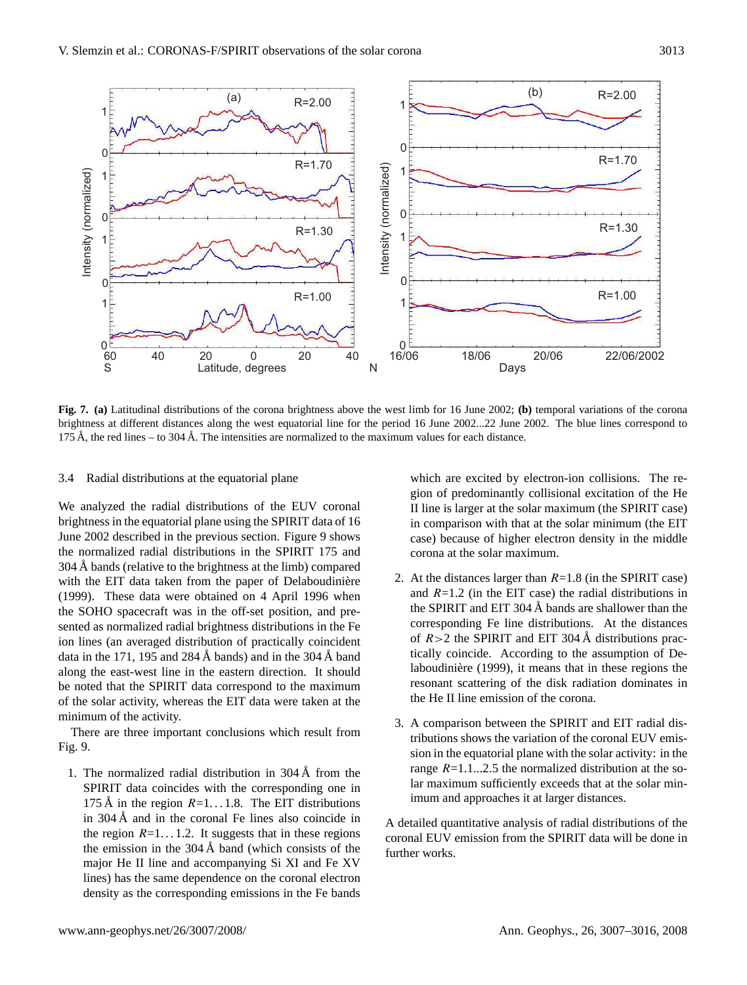

**Fig. 7. (a)** Latitudinal distributions of the corona brightness above the west limb for 16 June 2002; **(b)** temporal variations of the corona brightness at different distances along the west equatorial line for the period 16 June 2002...22 June 2002. The blue lines correspond to 175 Å, the red lines – to 304 Å. The intensities are normalized to the maximum values for each distance.

## 3.4 Radial distributions at the equatorial plane

We analyzed the radial distributions of the EUV coronal brightness in the equatorial plane using the SPIRIT data of 16 June 2002 described in the previous section. Figure 9 shows the normalized radial distributions in the SPIRIT 175 and 304 Å bands (relative to the brightness at the limb) compared with the EIT data taken from the paper of Delaboudinière (1999). These data were obtained on 4 April 1996 when the SOHO spacecraft was in the off-set position, and presented as normalized radial brightness distributions in the Fe ion lines (an averaged distribution of practically coincident data in the 171, 195 and 284 Å bands) and in the 304 Å band along the east-west line in the eastern direction. It should be noted that the SPIRIT data correspond to the maximum of the solar activity, whereas the EIT data were taken at the minimum of the activity.

There are three important conclusions which result from Fig. 9.

1. The normalized radial distribution in  $304 \text{ Å}$  from the SPIRIT data coincides with the corresponding one in 175 Å in the region  $R=1...1.8$ . The EIT distributions in  $304 \text{ Å}$  and in the coronal Fe lines also coincide in the region  $R=1...1.2$ . It suggests that in these regions the emission in the  $304 \text{\AA}$  band (which consists of the major He II line and accompanying Si XI and Fe XV lines) has the same dependence on the coronal electron density as the corresponding emissions in the Fe bands

which are excited by electron-ion collisions. The region of predominantly collisional excitation of the He II line is larger at the solar maximum (the SPIRIT case) in comparison with that at the solar minimum (the EIT case) because of higher electron density in the middle corona at the solar maximum.

- 2. At the distances larger than  $R=1.8$  (in the SPIRIT case) and  $R=1.2$  (in the EIT case) the radial distributions in the SPIRIT and EIT 304  $\AA$  bands are shallower than the corresponding Fe line distributions. At the distances of  $R>2$  the SPIRIT and EIT 304 Å distributions practically coincide. According to the assumption of Delaboudinière (1999), it means that in these regions the resonant scattering of the disk radiation dominates in the He II line emission of the corona.
- 3. A comparison between the SPIRIT and EIT radial distributions shows the variation of the coronal EUV emission in the equatorial plane with the solar activity: in the range  $R=1.1...2.5$  the normalized distribution at the solar maximum sufficiently exceeds that at the solar minimum and approaches it at larger distances.

A detailed quantitative analysis of radial distributions of the coronal EUV emission from the SPIRIT data will be done in further works.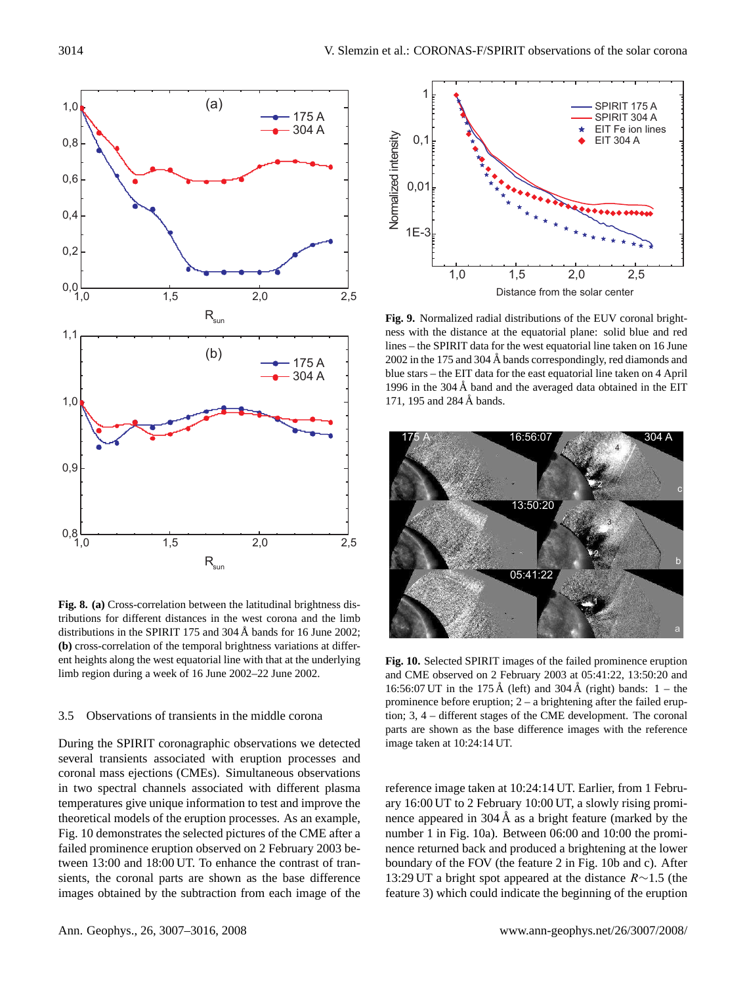

**Fig. 8. (a)** Cross-correlation between the latitudinal brightness distributions for different distances in the west corona and the limb distributions in the SPIRIT 175 and 304 Å bands for 16 June 2002; **(b)** cross-correlation of the temporal brightness variations at different heights along the west equatorial line with that at the underlying limb region during a week of 16 June 2002–22 June 2002.

## 3.5 Observations of transients in the middle corona

During the SPIRIT coronagraphic observations we detected several transients associated with eruption processes and coronal mass ejections (CMEs). Simultaneous observations in two spectral channels associated with different plasma temperatures give unique information to test and improve the theoretical models of the eruption processes. As an example, Fig. 10 demonstrates the selected pictures of the CME after a failed prominence eruption observed on 2 February 2003 between 13:00 and 18:00 UT. To enhance the contrast of transients, the coronal parts are shown as the base difference images obtained by the subtraction from each image of the



**Fig. 9.** Normalized radial distributions of the EUV coronal brightness with the distance at the equatorial plane: solid blue and red lines – the SPIRIT data for the west equatorial line taken on 16 June 2002 in the 175 and 304  $\AA$  bands correspondingly, red diamonds and blue stars – the EIT data for the east equatorial line taken on 4 April 1996 in the  $304 \text{ Å}$  band and the averaged data obtained in the EIT 171, 195 and 284 Å bands.



**Fig. 10.** Selected SPIRIT images of the failed prominence eruption and CME observed on 2 February 2003 at 05:41:22, 13:50:20 and 16:56:07 UT in the 175 Å (left) and 304 Å (right) bands:  $1 -$  the prominence before eruption; 2 – a brightening after the failed eruption; 3, 4 – different stages of the CME development. The coronal parts are shown as the base difference images with the reference image taken at 10:24:14 UT.

reference image taken at 10:24:14 UT. Earlier, from 1 February 16:00 UT to 2 February 10:00 UT, a slowly rising prominence appeared in  $304 \text{ Å}$  as a bright feature (marked by the number 1 in Fig. 10a). Between 06:00 and 10:00 the prominence returned back and produced a brightening at the lower boundary of the FOV (the feature 2 in Fig. 10b and c). After 13:29 UT a bright spot appeared at the distance R∼1.5 (the feature 3) which could indicate the beginning of the eruption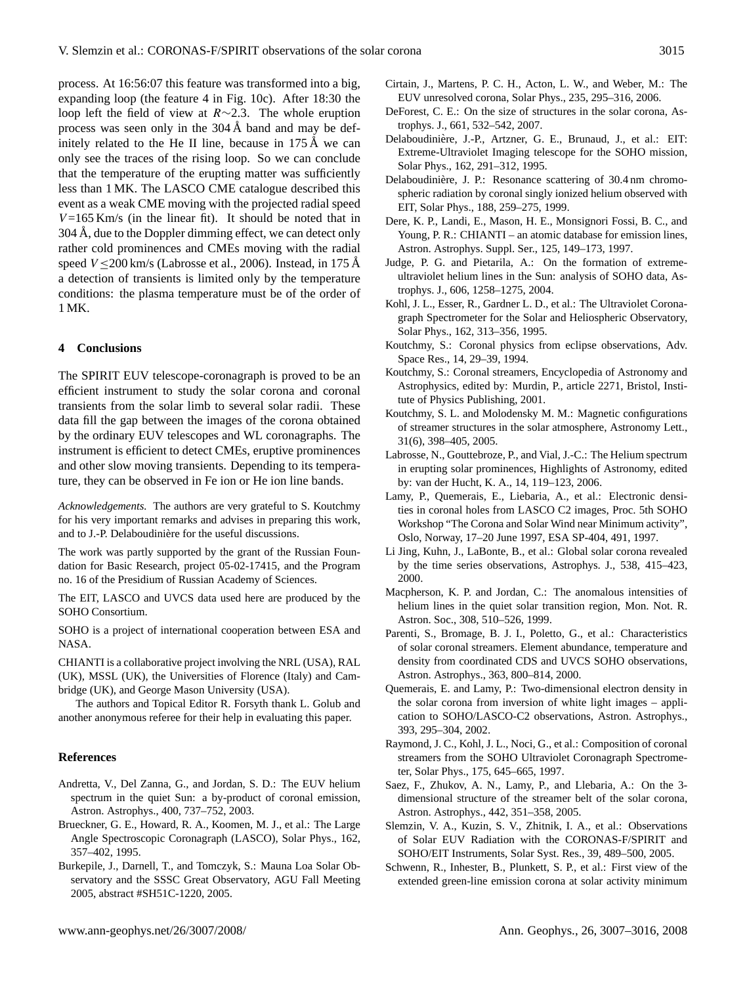process. At 16:56:07 this feature was transformed into a big, expanding loop (the feature 4 in Fig. 10c). After 18:30 the loop left the field of view at R∼2.3. The whole eruption process was seen only in the  $304 \text{\AA}$  band and may be definitely related to the He II line, because in  $175 \text{ Å}$  we can only see the traces of the rising loop. So we can conclude that the temperature of the erupting matter was sufficiently less than 1 MK. The LASCO CME catalogue described this event as a weak CME moving with the projected radial speed  $V = 165$  Km/s (in the linear fit). It should be noted that in  $304 \text{ Å}$ , due to the Doppler dimming effect, we can detect only rather cold prominences and CMEs moving with the radial speed  $V \le 200$  km/s (Labrosse et al., 2006). Instead, in 175 Å a detection of transients is limited only by the temperature conditions: the plasma temperature must be of the order of 1 MK.

## **4 Conclusions**

The SPIRIT EUV telescope-coronagraph is proved to be an efficient instrument to study the solar corona and coronal transients from the solar limb to several solar radii. These data fill the gap between the images of the corona obtained by the ordinary EUV telescopes and WL coronagraphs. The instrument is efficient to detect CMEs, eruptive prominences and other slow moving transients. Depending to its temperature, they can be observed in Fe ion or He ion line bands.

*Acknowledgements.* The authors are very grateful to S. Koutchmy for his very important remarks and advises in preparing this work, and to J.-P. Delaboudinière for the useful discussions.

The work was partly supported by the grant of the Russian Foundation for Basic Research, project 05-02-17415, and the Program no. 16 of the Presidium of Russian Academy of Sciences.

The EIT, LASCO and UVCS data used here are produced by the SOHO Consortium.

SOHO is a project of international cooperation between ESA and NASA.

CHIANTI is a collaborative project involving the NRL (USA), RAL (UK), MSSL (UK), the Universities of Florence (Italy) and Cambridge (UK), and George Mason University (USA).

The authors and Topical Editor R. Forsyth thank L. Golub and another anonymous referee for their help in evaluating this paper.

#### **References**

- Andretta, V., Del Zanna, G., and Jordan, S. D.: The EUV helium spectrum in the quiet Sun: a by-product of coronal emission, Astron. Astrophys., 400, 737–752, 2003.
- Brueckner, G. E., Howard, R. A., Koomen, M. J., et al.: The Large Angle Spectroscopic Coronagraph (LASCO), Solar Phys., 162, 357–402, 1995.
- Burkepile, J., Darnell, T., and Tomczyk, S.: Mauna Loa Solar Observatory and the SSSC Great Observatory, AGU Fall Meeting 2005, abstract #SH51C-1220, 2005.
- Cirtain, J., Martens, P. C. H., Acton, L. W., and Weber, M.: The EUV unresolved corona, Solar Phys., 235, 295–316, 2006.
- DeForest, C. E.: On the size of structures in the solar corona, Astrophys. J., 661, 532–542, 2007.
- Delaboudinière, J.-P., Artzner, G. E., Brunaud, J., et al.: EIT: Extreme-Ultraviolet Imaging telescope for the SOHO mission, Solar Phys., 162, 291–312, 1995.
- Delaboudinière, J. P.: Resonance scattering of 30.4 nm chromospheric radiation by coronal singly ionized helium observed with EIT, Solar Phys., 188, 259–275, 1999.
- Dere, K. P., Landi, E., Mason, H. E., Monsignori Fossi, B. C., and Young, P. R.: CHIANTI – an atomic database for emission lines, Astron. Astrophys. Suppl. Ser., 125, 149–173, 1997.
- Judge, P. G. and Pietarila, A.: On the formation of extremeultraviolet helium lines in the Sun: analysis of SOHO data, Astrophys. J., 606, 1258–1275, 2004.
- Kohl, J. L., Esser, R., Gardner L. D., et al.: The Ultraviolet Coronagraph Spectrometer for the Solar and Heliospheric Observatory, Solar Phys., 162, 313–356, 1995.
- Koutchmy, S.: Coronal physics from eclipse observations, Adv. Space Res., 14, 29–39, 1994.
- Koutchmy, S.: Coronal streamers, Encyclopedia of Astronomy and Astrophysics, edited by: Murdin, P., article 2271, Bristol, Institute of Physics Publishing, 2001.
- Koutchmy, S. L. and Molodensky M. M.: Magnetic configurations of streamer structures in the solar atmosphere, Astronomy Lett., 31(6), 398–405, 2005.
- Labrosse, N., Gouttebroze, P., and Vial, J.-C.: The Helium spectrum in erupting solar prominences, Highlights of Astronomy, edited by: van der Hucht, K. A., 14, 119–123, 2006.
- Lamy, P., Quemerais, E., Liebaria, A., et al.: Electronic densities in coronal holes from LASCO C2 images, Proc. 5th SOHO Workshop "The Corona and Solar Wind near Minimum activity", Oslo, Norway, 17–20 June 1997, ESA SP-404, 491, 1997.
- Li Jing, Kuhn, J., LaBonte, B., et al.: Global solar corona revealed by the time series observations, Astrophys. J., 538, 415–423, 2000.
- Macpherson, K. P. and Jordan, C.: The anomalous intensities of helium lines in the quiet solar transition region, Mon. Not. R. Astron. Soc., 308, 510–526, 1999.
- Parenti, S., Bromage, B. J. I., Poletto, G., et al.: Characteristics of solar coronal streamers. Element abundance, temperature and density from coordinated CDS and UVCS SOHO observations, Astron. Astrophys., 363, 800–814, 2000.
- Quemerais, E. and Lamy, P.: Two-dimensional electron density in the solar corona from inversion of white light images – application to SOHO/LASCO-C2 observations, Astron. Astrophys., 393, 295–304, 2002.
- Raymond, J. C., Kohl, J. L., Noci, G., et al.: Composition of coronal streamers from the SOHO Ultraviolet Coronagraph Spectrometer, Solar Phys., 175, 645–665, 1997.
- Saez, F., Zhukov, A. N., Lamy, P., and Llebaria, A.: On the 3 dimensional structure of the streamer belt of the solar corona, Astron. Astrophys., 442, 351–358, 2005.
- Slemzin, V. A., Kuzin, S. V., Zhitnik, I. A., et al.: Observations of Solar EUV Radiation with the CORONAS-F/SPIRIT and SOHO/EIT Instruments, Solar Syst. Res., 39, 489–500, 2005.
- Schwenn, R., Inhester, B., Plunkett, S. P., et al.: First view of the extended green-line emission corona at solar activity minimum